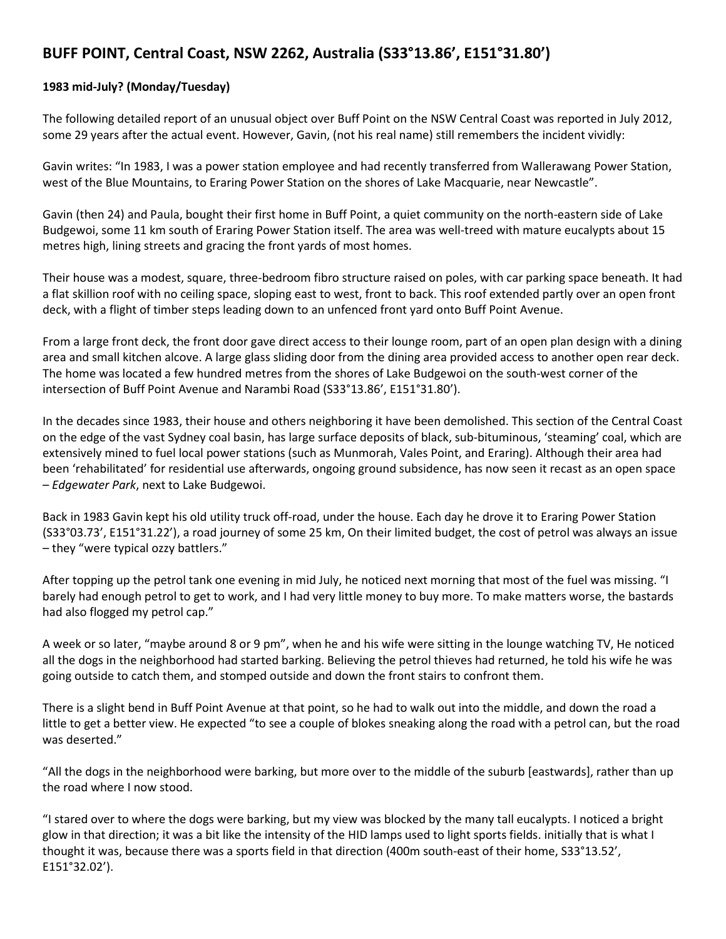## **BUFF POINT, Central Coast, NSW 2262, Australia (S33°13.86', E151°31.80')**

## **1983 mid-July? (Monday/Tuesday)**

The following detailed report of an unusual object over Buff Point on the NSW Central Coast was reported in July 2012, some 29 years after the actual event. However, Gavin, (not his real name) still remembers the incident vividly:

Gavin writes: "In 1983, I was a power station employee and had recently transferred from Wallerawang Power Station, west of the Blue Mountains, to Eraring Power Station on the shores of Lake Macquarie, near Newcastle".

Gavin (then 24) and Paula, bought their first home in Buff Point, a quiet community on the north-eastern side of Lake Budgewoi, some 11 km south of Eraring Power Station itself. The area was well-treed with mature eucalypts about 15 metres high, lining streets and gracing the front yards of most homes.

Their house was a modest, square, three-bedroom fibro structure raised on poles, with car parking space beneath. It had a flat skillion roof with no ceiling space, sloping east to west, front to back. This roof extended partly over an open front deck, with a flight of timber steps leading down to an unfenced front yard onto Buff Point Avenue.

From a large front deck, the front door gave direct access to their lounge room, part of an open plan design with a dining area and small kitchen alcove. A large glass sliding door from the dining area provided access to another open rear deck. The home was located a few hundred metres from the shores of Lake Budgewoi on the south-west corner of the intersection of Buff Point Avenue and Narambi Road (S33°13.86', E151°31.80').

In the decades since 1983, their house and others neighboring it have been demolished. This section of the Central Coast on the edge of the vast Sydney coal basin, has large surface deposits of black, sub-bituminous, 'steaming' coal, which are extensively mined to fuel local power stations (such as Munmorah, Vales Point, and Eraring). Although their area had been 'rehabilitated' for residential use afterwards, ongoing ground subsidence, has now seen it recast as an open space – *Edgewater Park*, next to Lake Budgewoi.

Back in 1983 Gavin kept his old utility truck off-road, under the house. Each day he drove it to Eraring Power Station (S33°03.73', E151°31.22'), a road journey of some 25 km, On their limited budget, the cost of petrol was always an issue – they "were typical ozzy battlers."

After topping up the petrol tank one evening in mid July, he noticed next morning that most of the fuel was missing. "I barely had enough petrol to get to work, and I had very little money to buy more. To make matters worse, the bastards had also flogged my petrol cap."

A week or so later, "maybe around 8 or 9 pm", when he and his wife were sitting in the lounge watching TV, He noticed all the dogs in the neighborhood had started barking. Believing the petrol thieves had returned, he told his wife he was going outside to catch them, and stomped outside and down the front stairs to confront them.

There is a slight bend in Buff Point Avenue at that point, so he had to walk out into the middle, and down the road a little to get a better view. He expected "to see a couple of blokes sneaking along the road with a petrol can, but the road was deserted."

"All the dogs in the neighborhood were barking, but more over to the middle of the suburb [eastwards], rather than up the road where I now stood.

"I stared over to where the dogs were barking, but my view was blocked by the many tall eucalypts. I noticed a bright glow in that direction; it was a bit like the intensity of the HID lamps used to light sports fields. initially that is what I thought it was, because there was a sports field in that direction (400m south-east of their home, S33°13.52', E151°32.02').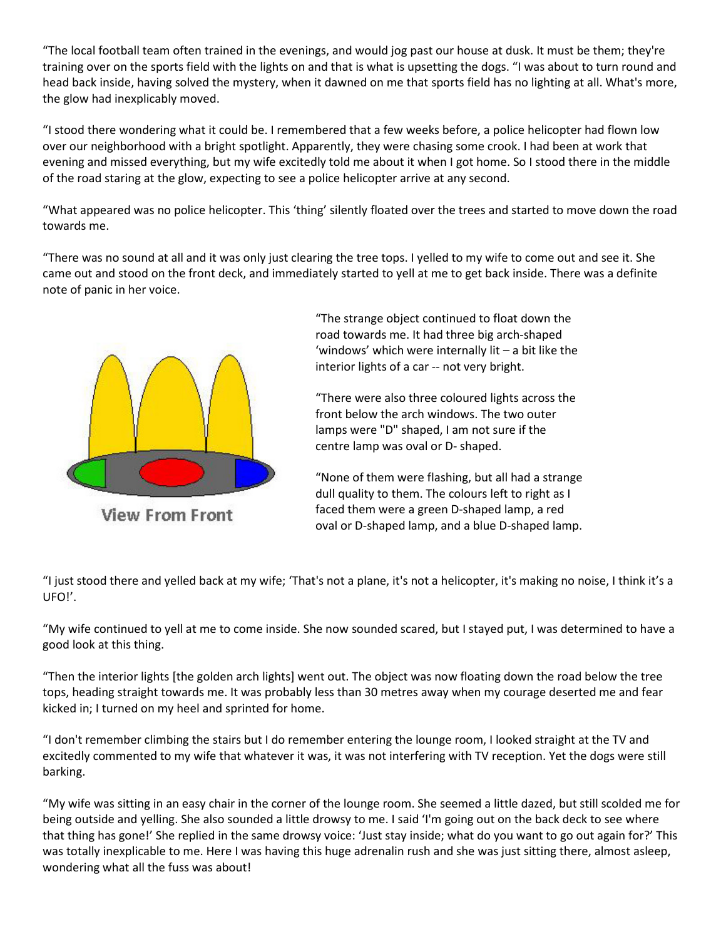"The local football team often trained in the evenings, and would jog past our house at dusk. It must be them; they're training over on the sports field with the lights on and that is what is upsetting the dogs. "I was about to turn round and head back inside, having solved the mystery, when it dawned on me that sports field has no lighting at all. What's more, the glow had inexplicably moved.

"I stood there wondering what it could be. I remembered that a few weeks before, a police helicopter had flown low over our neighborhood with a bright spotlight. Apparently, they were chasing some crook. I had been at work that evening and missed everything, but my wife excitedly told me about it when I got home. So I stood there in the middle of the road staring at the glow, expecting to see a police helicopter arrive at any second.

"What appeared was no police helicopter. This 'thing' silently floated over the trees and started to move down the road towards me.

"There was no sound at all and it was only just clearing the tree tops. I yelled to my wife to come out and see it. She came out and stood on the front deck, and immediately started to yell at me to get back inside. There was a definite note of panic in her voice.



**View From Front** 

"The strange object continued to float down the road towards me. It had three big arch-shaped 'windows' which were internally lit – a bit like the interior lights of a car -- not very bright.

"There were also three coloured lights across the front below the arch windows. The two outer lamps were "D" shaped, I am not sure if the centre lamp was oval or D- shaped.

"None of them were flashing, but all had a strange dull quality to them. The colours left to right as I faced them were a green D-shaped lamp, a red oval or D-shaped lamp, and a blue D-shaped lamp.

"I just stood there and yelled back at my wife; 'That's not a plane, it's not a helicopter, it's making no noise, I think it's a UFO!'.

"My wife continued to yell at me to come inside. She now sounded scared, but I stayed put, I was determined to have a good look at this thing.

"Then the interior lights [the golden arch lights] went out. The object was now floating down the road below the tree tops, heading straight towards me. It was probably less than 30 metres away when my courage deserted me and fear kicked in; I turned on my heel and sprinted for home.

"I don't remember climbing the stairs but I do remember entering the lounge room, I looked straight at the TV and excitedly commented to my wife that whatever it was, it was not interfering with TV reception. Yet the dogs were still barking.

"My wife was sitting in an easy chair in the corner of the lounge room. She seemed a little dazed, but still scolded me for being outside and yelling. She also sounded a little drowsy to me. I said 'I'm going out on the back deck to see where that thing has gone!' She replied in the same drowsy voice: 'Just stay inside; what do you want to go out again for?' This was totally inexplicable to me. Here I was having this huge adrenalin rush and she was just sitting there, almost asleep, wondering what all the fuss was about!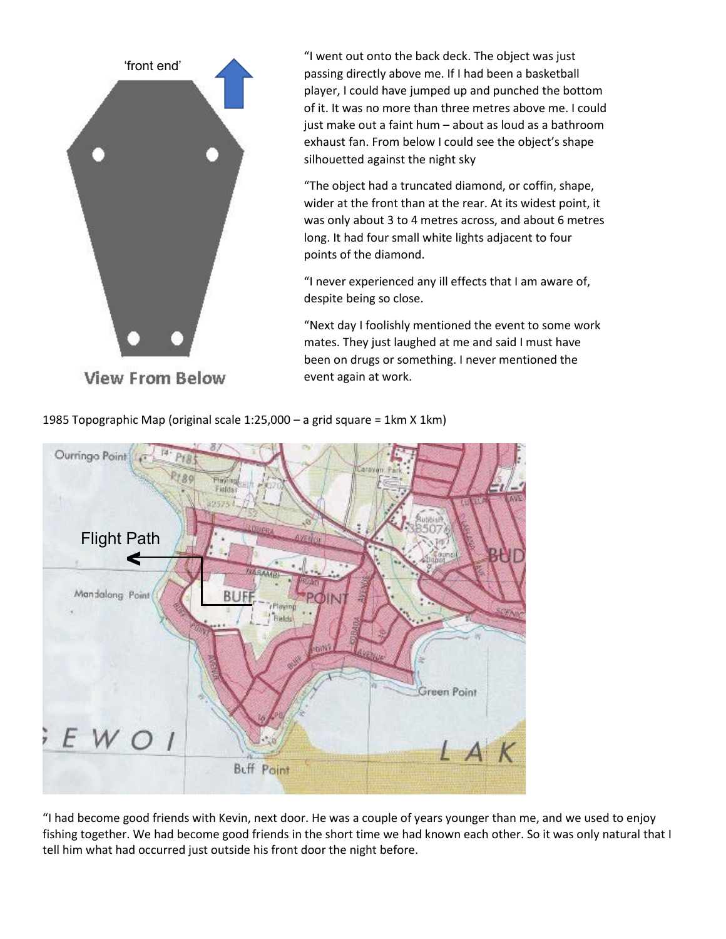

"I went out onto the back deck. The object was just passing directly above me. If I had been a basketball player, I could have jumped up and punched the bottom of it. It was no more than three metres above me. I could just make out a faint hum – about as loud as a bathroom exhaust fan. From below I could see the object's shape silhouetted against the night sky

"The object had a truncated diamond, or coffin, shape, wider at the front than at the rear. At its widest point, it was only about 3 to 4 metres across, and about 6 metres long. It had four small white lights adjacent to four points of the diamond.

"I never experienced any ill effects that I am aware of, despite being so close.

"Next day I foolishly mentioned the event to some work mates. They just laughed at me and said I must have been on drugs or something. I never mentioned the event again at work.



1985 Topographic Map (original scale 1:25,000 – a grid square = 1km X 1km)

"I had become good friends with Kevin, next door. He was a couple of years younger than me, and we used to enjoy fishing together. We had become good friends in the short time we had known each other. So it was only natural that I tell him what had occurred just outside his front door the night before.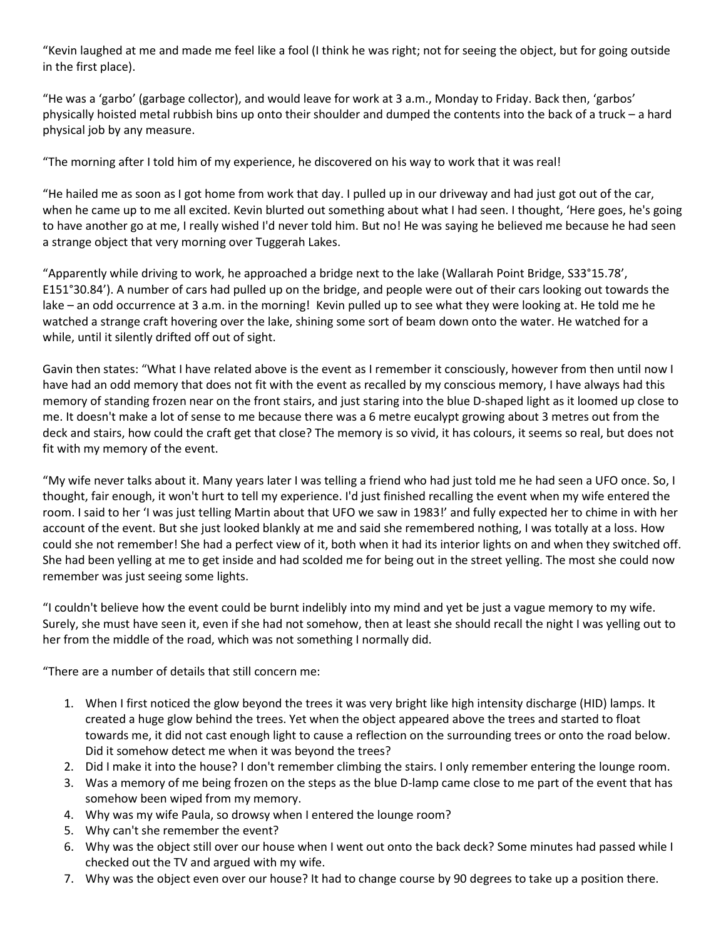"Kevin laughed at me and made me feel like a fool (I think he was right; not for seeing the object, but for going outside in the first place).

"He was a 'garbo' (garbage collector), and would leave for work at 3 a.m., Monday to Friday. Back then, 'garbos' physically hoisted metal rubbish bins up onto their shoulder and dumped the contents into the back of a truck – a hard physical job by any measure.

"The morning after I told him of my experience, he discovered on his way to work that it was real!

"He hailed me as soon as I got home from work that day. I pulled up in our driveway and had just got out of the car, when he came up to me all excited. Kevin blurted out something about what I had seen. I thought, 'Here goes, he's going to have another go at me, I really wished I'd never told him. But no! He was saying he believed me because he had seen a strange object that very morning over Tuggerah Lakes.

"Apparently while driving to work, he approached a bridge next to the lake (Wallarah Point Bridge, S33°15.78', E151°30.84'). A number of cars had pulled up on the bridge, and people were out of their cars looking out towards the lake – an odd occurrence at 3 a.m. in the morning! Kevin pulled up to see what they were looking at. He told me he watched a strange craft hovering over the lake, shining some sort of beam down onto the water. He watched for a while, until it silently drifted off out of sight.

Gavin then states: "What I have related above is the event as I remember it consciously, however from then until now I have had an odd memory that does not fit with the event as recalled by my conscious memory, I have always had this memory of standing frozen near on the front stairs, and just staring into the blue D-shaped light as it loomed up close to me. It doesn't make a lot of sense to me because there was a 6 metre eucalypt growing about 3 metres out from the deck and stairs, how could the craft get that close? The memory is so vivid, it has colours, it seems so real, but does not fit with my memory of the event.

"My wife never talks about it. Many years later I was telling a friend who had just told me he had seen a UFO once. So, I thought, fair enough, it won't hurt to tell my experience. I'd just finished recalling the event when my wife entered the room. I said to her 'I was just telling Martin about that UFO we saw in 1983!' and fully expected her to chime in with her account of the event. But she just looked blankly at me and said she remembered nothing, I was totally at a loss. How could she not remember! She had a perfect view of it, both when it had its interior lights on and when they switched off. She had been yelling at me to get inside and had scolded me for being out in the street yelling. The most she could now remember was just seeing some lights.

"I couldn't believe how the event could be burnt indelibly into my mind and yet be just a vague memory to my wife. Surely, she must have seen it, even if she had not somehow, then at least she should recall the night I was yelling out to her from the middle of the road, which was not something I normally did.

"There are a number of details that still concern me:

- 1. When I first noticed the glow beyond the trees it was very bright like high intensity discharge (HID) lamps. It created a huge glow behind the trees. Yet when the object appeared above the trees and started to float towards me, it did not cast enough light to cause a reflection on the surrounding trees or onto the road below. Did it somehow detect me when it was beyond the trees?
- 2. Did I make it into the house? I don't remember climbing the stairs. I only remember entering the lounge room.
- 3. Was a memory of me being frozen on the steps as the blue D-lamp came close to me part of the event that has somehow been wiped from my memory.
- 4. Why was my wife Paula, so drowsy when I entered the lounge room?
- 5. Why can't she remember the event?
- 6. Why was the object still over our house when I went out onto the back deck? Some minutes had passed while I checked out the TV and argued with my wife.
- 7. Why was the object even over our house? It had to change course by 90 degrees to take up a position there.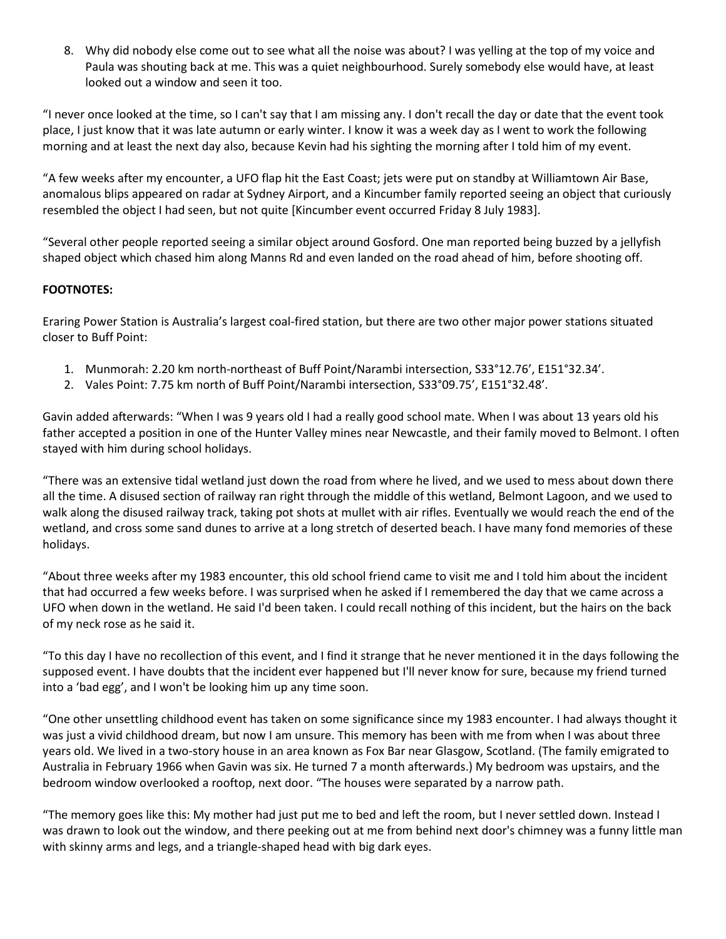8. Why did nobody else come out to see what all the noise was about? I was yelling at the top of my voice and Paula was shouting back at me. This was a quiet neighbourhood. Surely somebody else would have, at least looked out a window and seen it too.

"I never once looked at the time, so I can't say that I am missing any. I don't recall the day or date that the event took place, I just know that it was late autumn or early winter. I know it was a week day as I went to work the following morning and at least the next day also, because Kevin had his sighting the morning after I told him of my event.

"A few weeks after my encounter, a UFO flap hit the East Coast; jets were put on standby at Williamtown Air Base, anomalous blips appeared on radar at Sydney Airport, and a Kincumber family reported seeing an object that curiously resembled the object I had seen, but not quite [Kincumber event occurred Friday 8 July 1983].

"Several other people reported seeing a similar object around Gosford. One man reported being buzzed by a jellyfish shaped object which chased him along Manns Rd and even landed on the road ahead of him, before shooting off.

## **FOOTNOTES:**

Eraring Power Station is Australia's largest coal-fired station, but there are two other major power stations situated closer to Buff Point:

- 1. Munmorah: 2.20 km north-northeast of Buff Point/Narambi intersection, S33°12.76', E151°32.34'.
- 2. Vales Point: 7.75 km north of Buff Point/Narambi intersection, S33°09.75', E151°32.48'.

Gavin added afterwards: "When I was 9 years old I had a really good school mate. When I was about 13 years old his father accepted a position in one of the Hunter Valley mines near Newcastle, and their family moved to Belmont. I often stayed with him during school holidays.

"There was an extensive tidal wetland just down the road from where he lived, and we used to mess about down there all the time. A disused section of railway ran right through the middle of this wetland, Belmont Lagoon, and we used to walk along the disused railway track, taking pot shots at mullet with air rifles. Eventually we would reach the end of the wetland, and cross some sand dunes to arrive at a long stretch of deserted beach. I have many fond memories of these holidays.

"About three weeks after my 1983 encounter, this old school friend came to visit me and I told him about the incident that had occurred a few weeks before. I was surprised when he asked if I remembered the day that we came across a UFO when down in the wetland. He said I'd been taken. I could recall nothing of this incident, but the hairs on the back of my neck rose as he said it.

"To this day I have no recollection of this event, and I find it strange that he never mentioned it in the days following the supposed event. I have doubts that the incident ever happened but I'll never know for sure, because my friend turned into a 'bad egg', and I won't be looking him up any time soon.

"One other unsettling childhood event has taken on some significance since my 1983 encounter. I had always thought it was just a vivid childhood dream, but now I am unsure. This memory has been with me from when I was about three years old. We lived in a two-story house in an area known as Fox Bar near Glasgow, Scotland. (The family emigrated to Australia in February 1966 when Gavin was six. He turned 7 a month afterwards.) My bedroom was upstairs, and the bedroom window overlooked a rooftop, next door. "The houses were separated by a narrow path.

"The memory goes like this: My mother had just put me to bed and left the room, but I never settled down. Instead I was drawn to look out the window, and there peeking out at me from behind next door's chimney was a funny little man with skinny arms and legs, and a triangle-shaped head with big dark eyes.